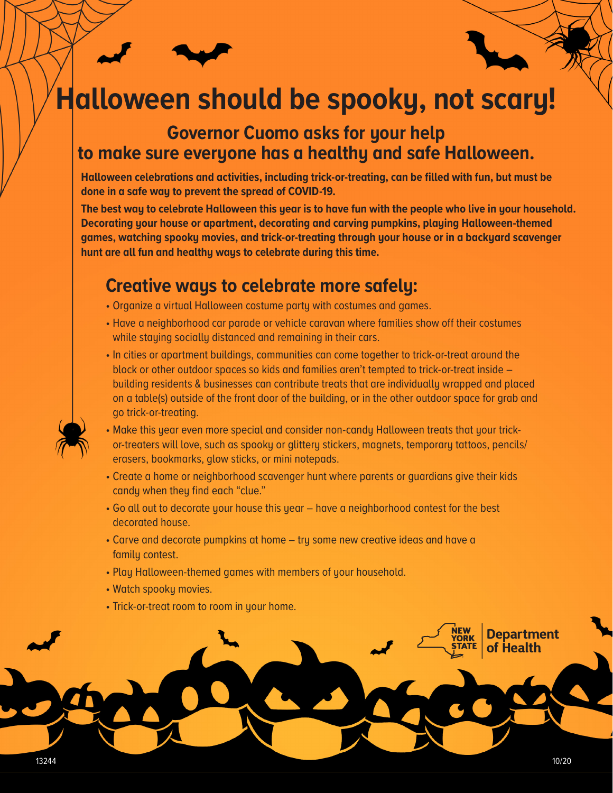# **Halloween should be spooky, not scary!**

### **Governor Cuomo asks for your help to make sure everyone has a healthy and safe Halloween.**

**Halloween celebrations and activities, including trick-or-treating, can be filled with fun, but must be done in a safe way to prevent the spread of COVID-19.** 

**The best way to celebrate Halloween this year is to have fun with the people who live in your household. Decorating your house or apartment, decorating and carving pumpkins, playing Halloween-themed games, watching spooky movies, and trick-or-treating through your house or in a backyard scavenger hunt are all fun and healthy ways to celebrate during this time.** 

## **Creative ways to celebrate more safely:**

- Organize a virtual Halloween costume party with costumes and games.
- Have a neighborhood car parade or vehicle caravan where families show off their costumes while staying socially distanced and remaining in their cars.
- In cities or apartment buildings, communities can come together to trick-or-treat around the block or other outdoor spaces so kids and families aren't tempted to trick-or-treat inside – building residents & businesses can contribute treats that are individually wrapped and placed on a table(s) outside of the front door of the building, or in the other outdoor space for grab and go trick-or-treating.
- Make this year even more special and consider non-candy Halloween treats that your trickor-treaters will love, such as spooky or glittery stickers, magnets, temporary tattoos, pencils/ erasers, bookmarks, glow sticks, or mini notepads.
- Create a home or neighborhood scavenger hunt where parents or guardians give their kids candy when they find each "clue."
- Go all out to decorate your house this year have a neighborhood contest for the best decorated house.
- Carve and decorate pumpkins at home try some new creative ideas and have a family contest.
- Play Halloween-themed games with members of your household.
- Watch spooky movies.
- Trick-or-treat room to room in your home.